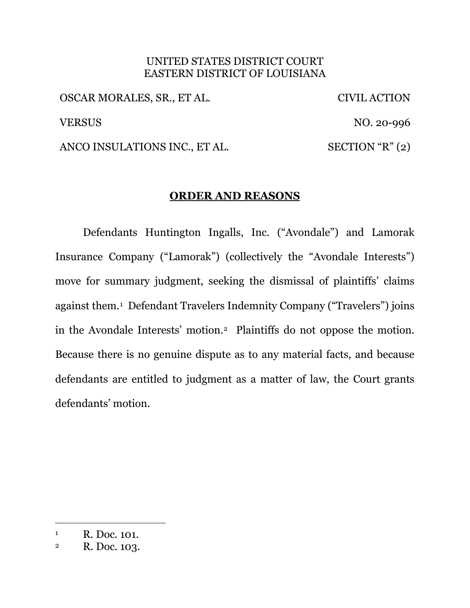## UNITED STATES DISTRICT COURT EASTERN DISTRICT OF LOUISIANA

OSCAR MORALES, SR., ET AL. CIVIL ACTION VERSUS NO. 20-996 ANCO INSULATIONS INC., ET AL. SECTION "R" (2)

# **ORDER AND REASONS**

Defendants Huntington Ingalls, Inc. ("Avondale") and Lamorak Insurance Company ("Lamorak") (collectively the "Avondale Interests") move for summary judgment, seeking the dismissal of plaintiffs' claims against them.1 Defendant Travelers Indemnity Company ("Travelers") joins in the Avondale Interests' motion.2 Plaintiffs do not oppose the motion. Because there is no genuine dispute as to any material facts, and because defendants are entitled to judgment as a matter of law, the Court grants defendants' motion.

<sup>&</sup>lt;sup>1</sup> R. Doc. 101.

<sup>2</sup> R. Doc. 103.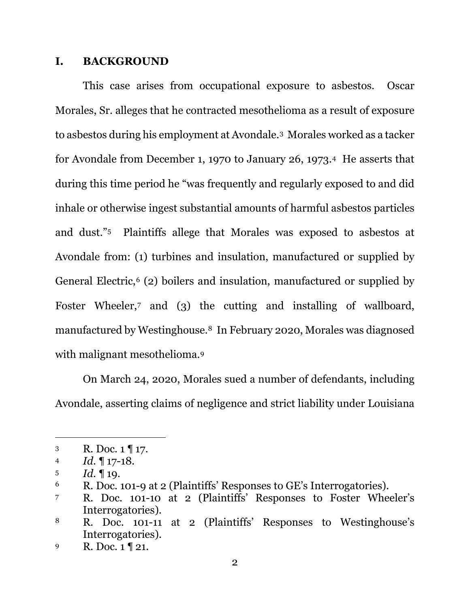## **I. BACKGROUND**

This case arises from occupational exposure to asbestos. Oscar Morales, Sr. alleges that he contracted mesothelioma as a result of exposure to asbestos during his employment at Avondale.3 Morales worked as a tacker for Avondale from December 1, 1970 to January 26, 1973.4 He asserts that during this time period he "was frequently and regularly exposed to and did inhale or otherwise ingest substantial amounts of harmful asbestos particles and dust."5 Plaintiffs allege that Morales was exposed to asbestos at Avondale from: (1) turbines and insulation, manufactured or supplied by General Electric,<sup>6</sup> (2) boilers and insulation, manufactured or supplied by Foster Wheeler,<sup>7</sup> and (3) the cutting and installing of wallboard, manufactured by Westinghouse.8 In February 2020, Morales was diagnosed with malignant mesothelioma.<sup>9</sup>

On March 24, 2020, Morales sued a number of defendants, including Avondale, asserting claims of negligence and strict liability under Louisiana

<sup>3</sup> R. Doc.  $1 \sqrt{17}$ .

<sup>4</sup> *Id.* ¶ 17-18.

<sup>5</sup>  $Id. \P 19.$ 

<sup>6</sup> R. Doc. 101-9 at 2 (Plaintiffs' Responses to GE's Interrogatories).

<sup>7</sup> R. Doc. 101-10 at 2 (Plaintiffs' Responses to Foster Wheeler's Interrogatories).

<sup>8</sup> R. Doc. 101-11 at 2 (Plaintiffs' Responses to Westinghouse's Interrogatories).

<sup>9</sup> R. Doc. 1 ¶ 21.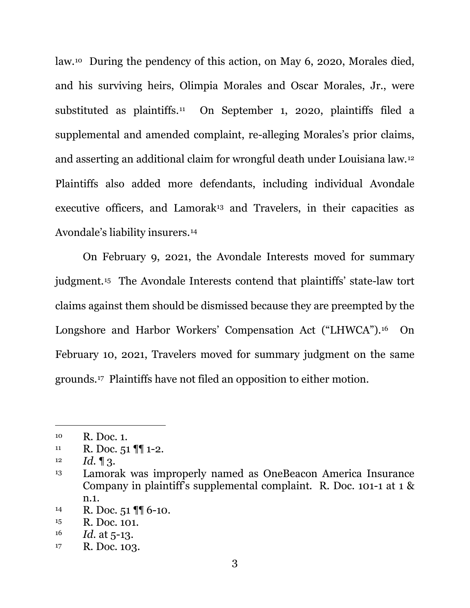law.10 During the pendency of this action, on May 6, 2020, Morales died, and his surviving heirs, Olimpia Morales and Oscar Morales, Jr., were substituted as plaintiffs.11 On September 1, 2020, plaintiffs filed a supplemental and amended complaint, re-alleging Morales's prior claims, and asserting an additional claim for wrongful death under Louisiana law.12 Plaintiffs also added more defendants, including individual Avondale executive officers, and Lamorak<sup>13</sup> and Travelers, in their capacities as Avondale's liability insurers.14

On February 9, 2021, the Avondale Interests moved for summary judgment.15 The Avondale Interests contend that plaintiffs' state-law tort claims against them should be dismissed because they are preempted by the Longshore and Harbor Workers' Compensation Act ("LHWCA").16 On February 10, 2021, Travelers moved for summary judgment on the same grounds.17 Plaintiffs have not filed an opposition to either motion.

<sup>10</sup> R. Doc. 1.

 $11$  R. Doc. 51  $\P$  1-2.

 $12$  *Id.* 13.

<sup>13</sup> Lamorak was improperly named as OneBeacon America Insurance Company in plaintiff's supplemental complaint. R. Doc. 101-1 at 1 & n.1.

<sup>14</sup> R. Doc.  $51 \sqrt{\frac{9}{10}} 6 - 10$ .

<sup>15</sup> R. Doc. 101.

<sup>16</sup> *Id.* at 5-13.

<sup>17</sup> R. Doc. 103.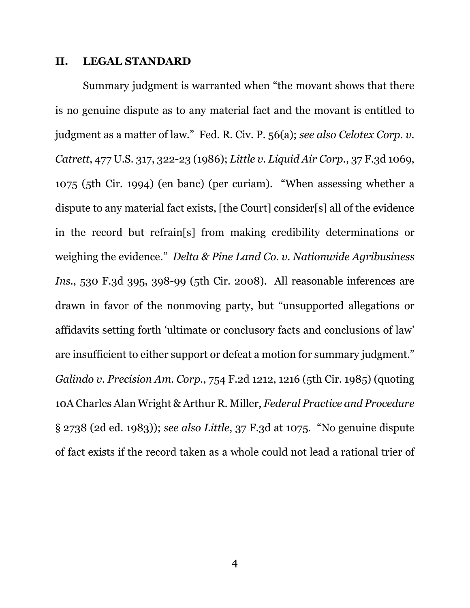#### **II. LEGAL STANDARD**

Summary judgment is warranted when "the movant shows that there is no genuine dispute as to any material fact and the movant is entitled to judgment as a matter of law." Fed. R. Civ. P. 56(a); *see also Celotex Corp. v. Catrett*, 477 U.S. 317, 322-23 (1986); *Little v. Liquid Air Corp.*, 37 F.3d 1069, 1075 (5th Cir. 1994) (en banc) (per curiam). "When assessing whether a dispute to any material fact exists, [the Court] consider[s] all of the evidence in the record but refrain[s] from making credibility determinations or weighing the evidence." *Delta & Pine Land Co. v. Nationwide Agribusiness Ins.*, 530 F.3d 395, 398-99 (5th Cir. 2008). All reasonable inferences are drawn in favor of the nonmoving party, but "unsupported allegations or affidavits setting forth 'ultimate or conclusory facts and conclusions of law' are insufficient to either support or defeat a motion for summary judgment." *Galindo v. Precision Am. Corp.*, 754 F.2d 1212, 1216 (5th Cir. 1985) (quoting 10A Charles Alan Wright & Arthur R. Miller, *Federal Practice and Procedure* § 2738 (2d ed. 1983)); *see also Little*, 37 F.3d at 1075. "No genuine dispute of fact exists if the record taken as a whole could not lead a rational trier of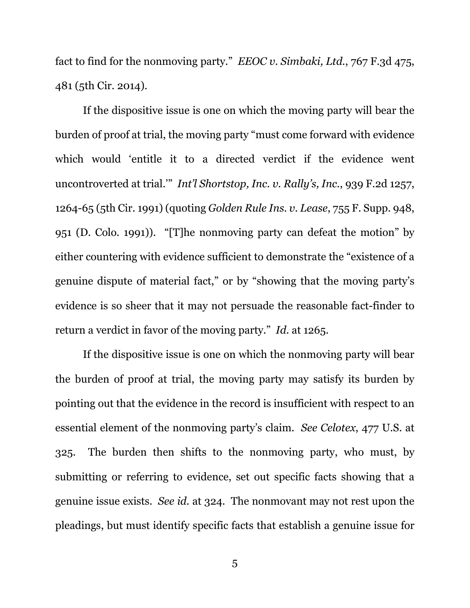fact to find for the nonmoving party." *EEOC v. Simbaki, Ltd.*, 767 F.3d 475, 481 (5th Cir. 2014).

If the dispositive issue is one on which the moving party will bear the burden of proof at trial, the moving party "must come forward with evidence which would 'entitle it to a directed verdict if the evidence went uncontroverted at trial.'" *Int'l Shortstop, Inc. v. Rally's, Inc.*, 939 F.2d 1257, 1264-65 (5th Cir. 1991) (quoting *Golden Rule Ins. v. Lease*, 755 F. Supp. 948, 951 (D. Colo. 1991)). "[T]he nonmoving party can defeat the motion" by either countering with evidence sufficient to demonstrate the "existence of a genuine dispute of material fact," or by "showing that the moving party's evidence is so sheer that it may not persuade the reasonable fact-finder to return a verdict in favor of the moving party." *Id.* at 1265.

If the dispositive issue is one on which the nonmoving party will bear the burden of proof at trial, the moving party may satisfy its burden by pointing out that the evidence in the record is insufficient with respect to an essential element of the nonmoving party's claim. *See Celotex*, 477 U.S. at 325. The burden then shifts to the nonmoving party, who must, by submitting or referring to evidence, set out specific facts showing that a genuine issue exists. *See id.* at 324. The nonmovant may not rest upon the pleadings, but must identify specific facts that establish a genuine issue for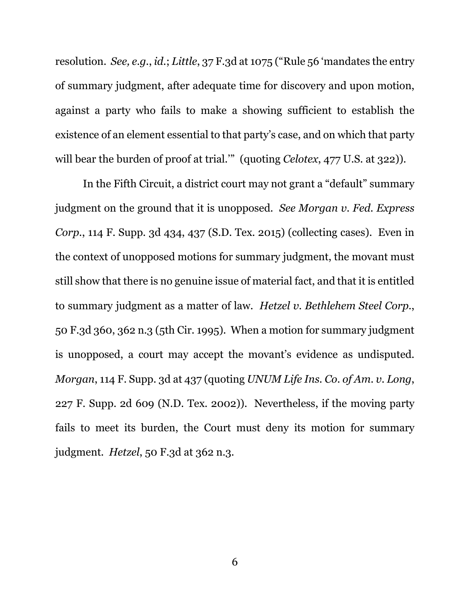resolution. *See, e.g.*, *id.*; *Little*, 37 F.3d at 1075 ("Rule 56 'mandates the entry of summary judgment, after adequate time for discovery and upon motion, against a party who fails to make a showing sufficient to establish the existence of an element essential to that party's case, and on which that party will bear the burden of proof at trial."" (quoting *Celotex*, 477 U.S. at 322)).

In the Fifth Circuit, a district court may not grant a "default" summary judgment on the ground that it is unopposed. *See Morgan v. Fed. Express Corp.*, 114 F. Supp. 3d 434, 437 (S.D. Tex. 2015) (collecting cases). Even in the context of unopposed motions for summary judgment, the movant must still show that there is no genuine issue of material fact, and that it is entitled to summary judgment as a matter of law. *Hetzel v. Bethlehem Steel Corp.*, 50 F.3d 360, 362 n.3 (5th Cir. 1995). When a motion for summary judgment is unopposed, a court may accept the movant's evidence as undisputed. *Morgan*, 114 F. Supp. 3d at 437 (quoting *UNUM Life Ins. Co. of Am. v. Long*, 227 F. Supp. 2d 609 (N.D. Tex. 2002)). Nevertheless, if the moving party fails to meet its burden, the Court must deny its motion for summary judgment. *Hetzel*, 50 F.3d at 362 n.3.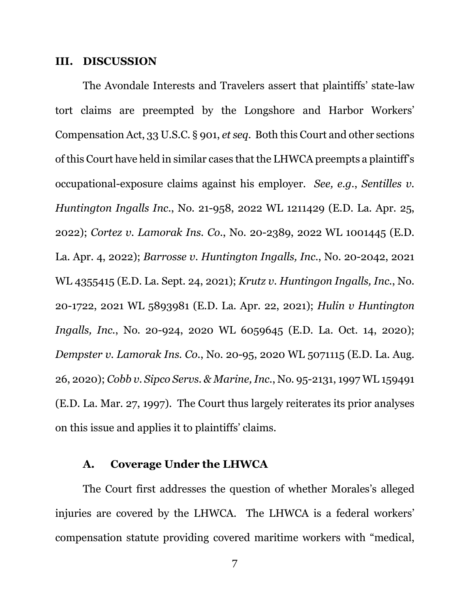#### **III. DISCUSSION**

The Avondale Interests and Travelers assert that plaintiffs' state-law tort claims are preempted by the Longshore and Harbor Workers' Compensation Act, 33 U.S.C. § 901, *et seq.* Both this Court and other sections of this Court have held in similar cases that the LHWCA preempts a plaintiff's occupational-exposure claims against his employer. *See, e.g.*, *Sentilles v. Huntington Ingalls Inc.*, No. 21-958, 2022 WL 1211429 (E.D. La. Apr. 25, 2022); *Cortez v. Lamorak Ins. Co.*, No. 20-2389, 2022 WL 1001445 (E.D. La. Apr. 4, 2022); *Barrosse v. Huntington Ingalls, Inc.*, No. 20-2042, 2021 WL 4355415 (E.D. La. Sept. 24, 2021); *Krutz v. Huntingon Ingalls, Inc.*, No. 20-1722, 2021 WL 5893981 (E.D. La. Apr. 22, 2021); *Hulin v Huntington Ingalls, Inc.*, No. 20-924, 2020 WL 6059645 (E.D. La. Oct. 14, 2020); *Dempster v. Lamorak Ins. Co.*, No. 20-95, 2020 WL 5071115 (E.D. La. Aug. 26, 2020); *Cobb v. Sipco Servs. & Marine, Inc.*, No. 95-2131, 1997 WL 159491 (E.D. La. Mar. 27, 1997). The Court thus largely reiterates its prior analyses on this issue and applies it to plaintiffs' claims.

## **A. Coverage Under the LHWCA**

The Court first addresses the question of whether Morales's alleged injuries are covered by the LHWCA. The LHWCA is a federal workers' compensation statute providing covered maritime workers with "medical,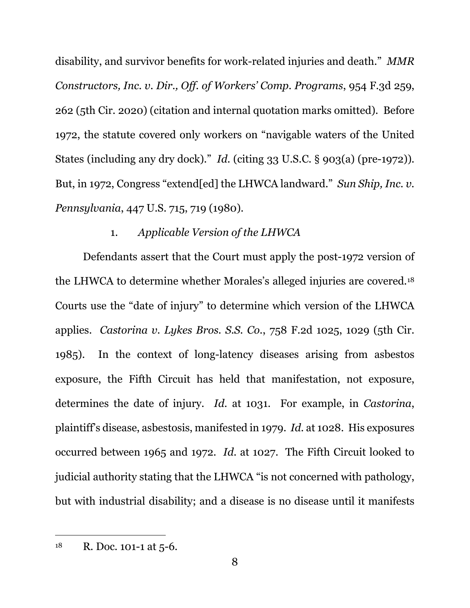disability, and survivor benefits for work-related injuries and death." *MMR Constructors, Inc. v. Dir., Off. of Workers' Comp. Programs*, 954 F.3d 259, 262 (5th Cir. 2020) (citation and internal quotation marks omitted). Before 1972, the statute covered only workers on "navigable waters of the United States (including any dry dock)." *Id.* (citing 33 U.S.C. § 903(a) (pre-1972)). But, in 1972, Congress "extend[ed] the LHWCA landward." *Sun Ship, Inc. v. Pennsylvania*, 447 U.S. 715, 719 (1980).

## 1. *Applicable Version of the LHWCA*

Defendants assert that the Court must apply the post-1972 version of the LHWCA to determine whether Morales's alleged injuries are covered.18 Courts use the "date of injury" to determine which version of the LHWCA applies. *Castorina v. Lykes Bros. S.S. Co.*, 758 F.2d 1025, 1029 (5th Cir. 1985). In the context of long-latency diseases arising from asbestos exposure, the Fifth Circuit has held that manifestation, not exposure, determines the date of injury. *Id.* at 1031. For example, in *Castorina*, plaintiff's disease, asbestosis, manifested in 1979. *Id.* at 1028. His exposures occurred between 1965 and 1972. *Id.* at 1027. The Fifth Circuit looked to judicial authority stating that the LHWCA "is not concerned with pathology, but with industrial disability; and a disease is no disease until it manifests

 $18$  R. Doc. 101-1 at 5-6.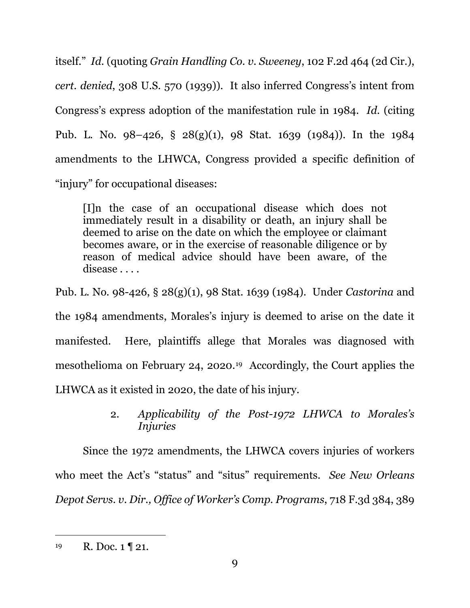itself." *Id.* (quoting *Grain Handling Co. v. Sweeney*, 102 F.2d 464 (2d Cir.), *cert. denied*, 308 U.S. 570 (1939)). It also inferred Congress's intent from Congress's express adoption of the manifestation rule in 1984. *Id.* (citing Pub. L. No. 98–426, § 28(g)(1), 98 Stat. 1639 (1984)). In the 1984 amendments to the LHWCA, Congress provided a specific definition of "injury" for occupational diseases:

[I]n the case of an occupational disease which does not immediately result in a disability or death, an injury shall be deemed to arise on the date on which the employee or claimant becomes aware, or in the exercise of reasonable diligence or by reason of medical advice should have been aware, of the disease . . . .

Pub. L. No. 98-426, § 28(g)(1), 98 Stat. 1639 (1984). Under *Castorina* and the 1984 amendments, Morales's injury is deemed to arise on the date it manifested. Here, plaintiffs allege that Morales was diagnosed with mesothelioma on February 24, 2020.19 Accordingly, the Court applies the LHWCA as it existed in 2020, the date of his injury.

> 2. *Applicability of the Post-1972 LHWCA to Morales's Injuries*

Since the 1972 amendments, the LHWCA covers injuries of workers who meet the Act's "status" and "situs" requirements. *See New Orleans Depot Servs. v. Dir., Office of Worker's Comp. Programs*, 718 F.3d 384, 389

 $19$  R. Doc. 1 | 21.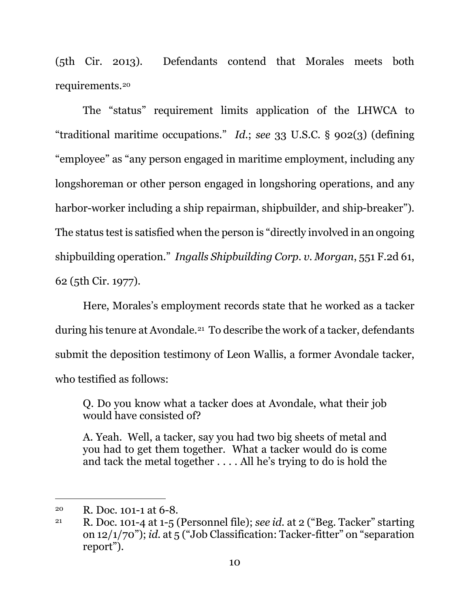(5th Cir. 2013). Defendants contend that Morales meets both requirements.20

The "status" requirement limits application of the LHWCA to "traditional maritime occupations." *Id.*; *see* 33 U.S.C. § 902(3) (defining "employee" as "any person engaged in maritime employment, including any longshoreman or other person engaged in longshoring operations, and any harbor-worker including a ship repairman, shipbuilder, and ship-breaker"). The status test is satisfied when the person is "directly involved in an ongoing shipbuilding operation." *Ingalls Shipbuilding Corp. v. Morgan*, 551 F.2d 61, 62 (5th Cir. 1977).

Here, Morales's employment records state that he worked as a tacker during his tenure at Avondale.21 To describe the work of a tacker, defendants submit the deposition testimony of Leon Wallis, a former Avondale tacker, who testified as follows:

Q. Do you know what a tacker does at Avondale, what their job would have consisted of?

A. Yeah. Well, a tacker, say you had two big sheets of metal and you had to get them together. What a tacker would do is come and tack the metal together . . . . All he's trying to do is hold the

<sup>20</sup> R. Doc. 101-1 at 6-8.

<sup>21</sup> R. Doc. 101-4 at 1-5 (Personnel file); *see id.* at 2 ("Beg. Tacker" starting on 12/1/70"); *id.* at 5 ("Job Classification: Tacker-fitter" on "separation report").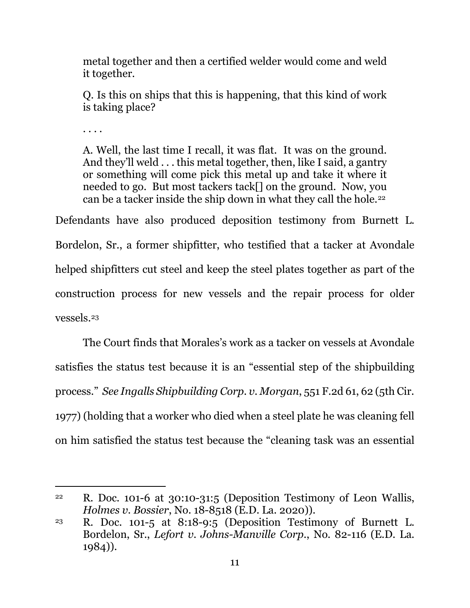metal together and then a certified welder would come and weld it together.

Q. Is this on ships that this is happening, that this kind of work is taking place?

. . . .

A. Well, the last time I recall, it was flat. It was on the ground. And they'll weld . . . this metal together, then, like I said, a gantry or something will come pick this metal up and take it where it needed to go. But most tackers tack[] on the ground. Now, you can be a tacker inside the ship down in what they call the hole.22

Defendants have also produced deposition testimony from Burnett L. Bordelon, Sr., a former shipfitter, who testified that a tacker at Avondale helped shipfitters cut steel and keep the steel plates together as part of the construction process for new vessels and the repair process for older vessels.23

The Court finds that Morales's work as a tacker on vessels at Avondale satisfies the status test because it is an "essential step of the shipbuilding process." *See Ingalls Shipbuilding Corp. v. Morgan*, 551 F.2d 61, 62 (5th Cir. 1977) (holding that a worker who died when a steel plate he was cleaning fell on him satisfied the status test because the "cleaning task was an essential

<sup>&</sup>lt;sup>22</sup> R. Doc. 101-6 at  $30:10-31:5$  (Deposition Testimony of Leon Wallis, *Holmes v. Bossier*, No. 18-8518 (E.D. La. 2020)).

<sup>23</sup> R. Doc. 101-5 at 8:18-9:5 (Deposition Testimony of Burnett L. Bordelon, Sr., *Lefort v. Johns-Manville Corp.*, No. 82-116 (E.D. La. 1984)).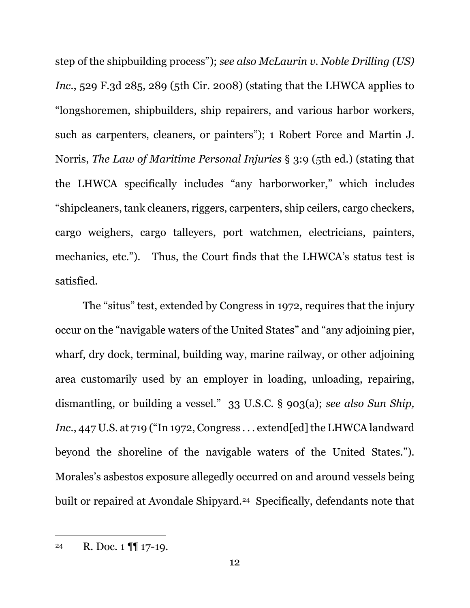step of the shipbuilding process"); *see also McLaurin v. Noble Drilling (US) Inc.*, 529 F.3d 285, 289 (5th Cir. 2008) (stating that the LHWCA applies to "longshoremen, shipbuilders, ship repairers, and various harbor workers, such as carpenters, cleaners, or painters"); 1 Robert Force and Martin J. Norris, *The Law of Maritime Personal Injuries* § 3:9 (5th ed.) (stating that the LHWCA specifically includes "any harborworker," which includes "shipcleaners, tank cleaners, riggers, carpenters, ship ceilers, cargo checkers, cargo weighers, cargo talleyers, port watchmen, electricians, painters, mechanics, etc."). Thus, the Court finds that the LHWCA's status test is satisfied.

The "situs" test, extended by Congress in 1972, requires that the injury occur on the "navigable waters of the United States" and "any adjoining pier, wharf, dry dock, terminal, building way, marine railway, or other adjoining area customarily used by an employer in loading, unloading, repairing, dismantling, or building a vessel." 33 U.S.C. § 903(a); *see also Sun Ship, Inc.*, 447 U.S. at 719 ("In 1972, Congress . . . extend[ed] the LHWCA landward beyond the shoreline of the navigable waters of the United States."). Morales's asbestos exposure allegedly occurred on and around vessels being built or repaired at Avondale Shipyard.<sup>24</sup> Specifically, defendants note that

<sup>24</sup> R. Doc. 1 ¶¶ 17-19.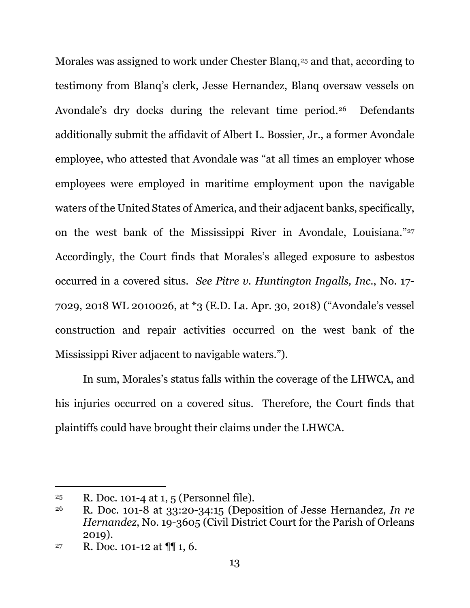Morales was assigned to work under Chester Blang,<sup>25</sup> and that, according to testimony from Blanq's clerk, Jesse Hernandez, Blanq oversaw vessels on Avondale's dry docks during the relevant time period.<sup>26</sup> Defendants additionally submit the affidavit of Albert L. Bossier, Jr., a former Avondale employee, who attested that Avondale was "at all times an employer whose employees were employed in maritime employment upon the navigable waters of the United States of America, and their adjacent banks, specifically, on the west bank of the Mississippi River in Avondale, Louisiana."27 Accordingly, the Court finds that Morales's alleged exposure to asbestos occurred in a covered situs. *See Pitre v. Huntington Ingalls, Inc.*, No. 17- 7029, 2018 WL 2010026, at \*3 (E.D. La. Apr. 30, 2018) ("Avondale's vessel construction and repair activities occurred on the west bank of the Mississippi River adjacent to navigable waters.").

In sum, Morales's status falls within the coverage of the LHWCA, and his injuries occurred on a covered situs. Therefore, the Court finds that plaintiffs could have brought their claims under the LHWCA.

<sup>&</sup>lt;sup>25</sup> R. Doc. 101-4 at 1, 5 (Personnel file).

<sup>26</sup> R. Doc. 101-8 at 33:20-34:15 (Deposition of Jesse Hernandez, *In re Hernandez*, No. 19-3605 (Civil District Court for the Parish of Orleans 2019).

<sup>&</sup>lt;sup>27</sup> R. Doc. 101-12 at  $\P\P$  1, 6.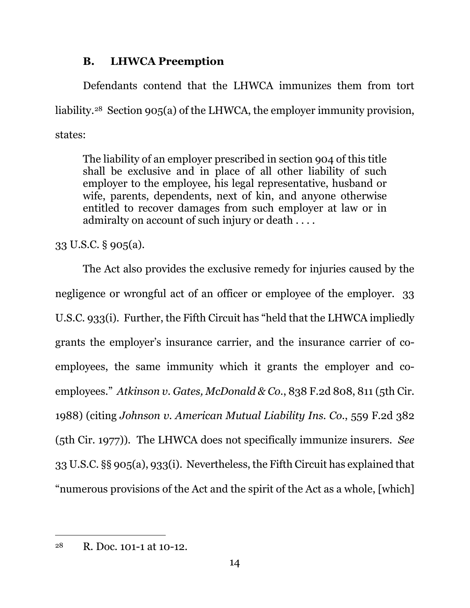# **B. LHWCA Preemption**

Defendants contend that the LHWCA immunizes them from tort liability.28 Section 905(a) of the LHWCA, the employer immunity provision, states:

The liability of an employer prescribed in section 904 of this title shall be exclusive and in place of all other liability of such employer to the employee, his legal representative, husband or wife, parents, dependents, next of kin, and anyone otherwise entitled to recover damages from such employer at law or in admiralty on account of such injury or death . . . .

33 U.S.C. § 905(a).

The Act also provides the exclusive remedy for injuries caused by the negligence or wrongful act of an officer or employee of the employer. 33 U.S.C. 933(i). Further, the Fifth Circuit has "held that the LHWCA impliedly grants the employer's insurance carrier, and the insurance carrier of coemployees, the same immunity which it grants the employer and coemployees." *Atkinson v. Gates, McDonald & Co.*, 838 F.2d 808, 811 (5th Cir. 1988) (citing *Johnson v. American Mutual Liability Ins. Co.*, 559 F.2d 382 (5th Cir. 1977)). The LHWCA does not specifically immunize insurers. *See*  33 U.S.C. §§ 905(a), 933(i). Nevertheless, the Fifth Circuit has explained that "numerous provisions of the Act and the spirit of the Act as a whole, [which]

<sup>28</sup> R. Doc. 101-1 at 10-12.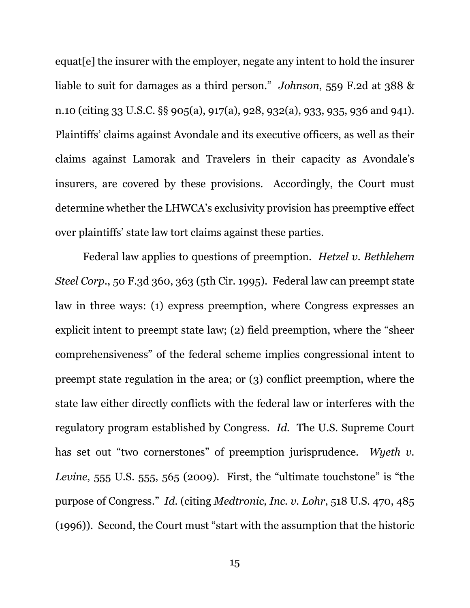equat[e] the insurer with the employer, negate any intent to hold the insurer liable to suit for damages as a third person." *Johnson*, 559 F.2d at 388 & n.10 (citing 33 U.S.C. §§ 905(a), 917(a), 928, 932(a), 933, 935, 936 and 941). Plaintiffs' claims against Avondale and its executive officers, as well as their claims against Lamorak and Travelers in their capacity as Avondale's insurers, are covered by these provisions. Accordingly, the Court must determine whether the LHWCA's exclusivity provision has preemptive effect over plaintiffs' state law tort claims against these parties.

Federal law applies to questions of preemption. *Hetzel v. Bethlehem Steel Corp.*, 50 F.3d 360, 363 (5th Cir. 1995). Federal law can preempt state law in three ways: (1) express preemption, where Congress expresses an explicit intent to preempt state law; (2) field preemption, where the "sheer comprehensiveness" of the federal scheme implies congressional intent to preempt state regulation in the area; or (3) conflict preemption, where the state law either directly conflicts with the federal law or interferes with the regulatory program established by Congress. *Id.* The U.S. Supreme Court has set out "two cornerstones" of preemption jurisprudence. *Wyeth v. Levine*, 555 U.S. 555, 565 (2009). First, the "ultimate touchstone" is "the purpose of Congress." *Id.* (citing *Medtronic, Inc. v. Lohr*, 518 U.S. 470, 485 (1996)). Second, the Court must "start with the assumption that the historic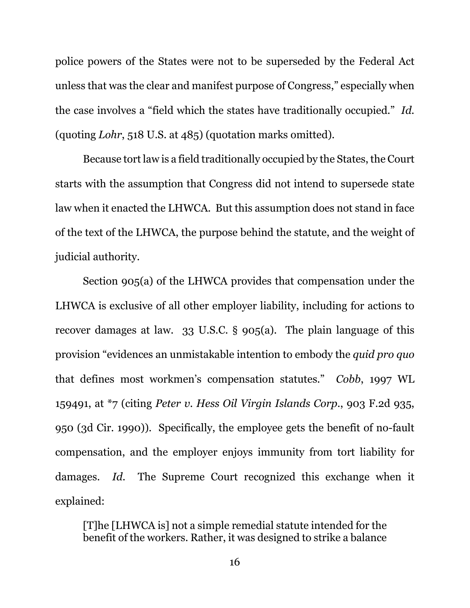police powers of the States were not to be superseded by the Federal Act unless that was the clear and manifest purpose of Congress," especially when the case involves a "field which the states have traditionally occupied." *Id.* (quoting *Lohr*, 518 U.S. at 485) (quotation marks omitted).

Because tort law is a field traditionally occupied by the States, the Court starts with the assumption that Congress did not intend to supersede state law when it enacted the LHWCA. But this assumption does not stand in face of the text of the LHWCA, the purpose behind the statute, and the weight of judicial authority.

Section 905(a) of the LHWCA provides that compensation under the LHWCA is exclusive of all other employer liability, including for actions to recover damages at law. 33 U.S.C. § 905(a). The plain language of this provision "evidences an unmistakable intention to embody the *quid pro quo* that defines most workmen's compensation statutes." *Cobb*, 1997 WL 159491, at \*7 (citing *Peter v. Hess Oil Virgin Islands Corp.*, 903 F.2d 935, 950 (3d Cir. 1990)). Specifically, the employee gets the benefit of no-fault compensation, and the employer enjoys immunity from tort liability for damages. *Id.* The Supreme Court recognized this exchange when it explained:

[T]he [LHWCA is] not a simple remedial statute intended for the benefit of the workers. Rather, it was designed to strike a balance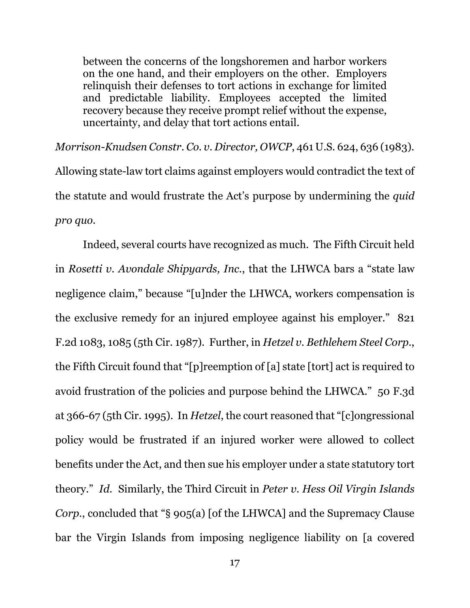between the concerns of the longshoremen and harbor workers on the one hand, and their employers on the other. Employers relinquish their defenses to tort actions in exchange for limited and predictable liability. Employees accepted the limited recovery because they receive prompt relief without the expense, uncertainty, and delay that tort actions entail.

*Morrison-Knudsen Constr. Co. v. Director, OWCP*, 461 U.S. 624, 636 (1983). Allowing state-law tort claims against employers would contradict the text of the statute and would frustrate the Act's purpose by undermining the *quid pro quo*.

Indeed, several courts have recognized as much. The Fifth Circuit held in *Rosetti v. Avondale Shipyards, Inc.*, that the LHWCA bars a "state law negligence claim," because "[u]nder the LHWCA, workers compensation is the exclusive remedy for an injured employee against his employer." 821 F.2d 1083, 1085 (5th Cir. 1987). Further, in *Hetzel v. Bethlehem Steel Corp.*, the Fifth Circuit found that "[p]reemption of [a] state [tort] act is required to avoid frustration of the policies and purpose behind the LHWCA." 50 F.3d at 366-67 (5th Cir. 1995). In *Hetzel*, the court reasoned that "[c]ongressional policy would be frustrated if an injured worker were allowed to collect benefits under the Act, and then sue his employer under a state statutory tort theory." *Id.* Similarly, the Third Circuit in *Peter v. Hess Oil Virgin Islands Corp.*, concluded that "§ 905(a) [of the LHWCA] and the Supremacy Clause bar the Virgin Islands from imposing negligence liability on [a covered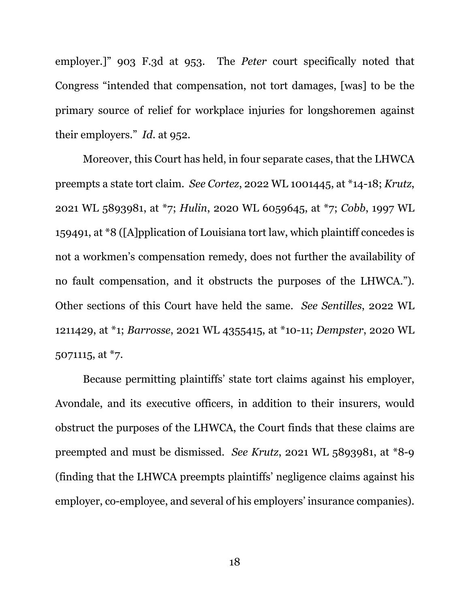employer.]" 903 F.3d at 953. The *Peter* court specifically noted that Congress "intended that compensation, not tort damages, [was] to be the primary source of relief for workplace injuries for longshoremen against their employers." *Id*. at 952.

Moreover, this Court has held, in four separate cases, that the LHWCA preempts a state tort claim. *See Cortez*, 2022 WL 1001445, at \*14-18; *Krutz*, 2021 WL 5893981, at \*7; *Hulin*, 2020 WL 6059645, at \*7; *Cobb*, 1997 WL 159491, at \*8 ([A]pplication of Louisiana tort law, which plaintiff concedes is not a workmen's compensation remedy, does not further the availability of no fault compensation, and it obstructs the purposes of the LHWCA."). Other sections of this Court have held the same. *See Sentilles*, 2022 WL 1211429, at \*1; *Barrosse*, 2021 WL 4355415, at \*10-11; *Dempster*, 2020 WL 5071115, at \*7.

Because permitting plaintiffs' state tort claims against his employer, Avondale, and its executive officers, in addition to their insurers, would obstruct the purposes of the LHWCA, the Court finds that these claims are preempted and must be dismissed. *See Krutz*, 2021 WL 5893981, at \*8-9 (finding that the LHWCA preempts plaintiffs' negligence claims against his employer, co-employee, and several of his employers' insurance companies).